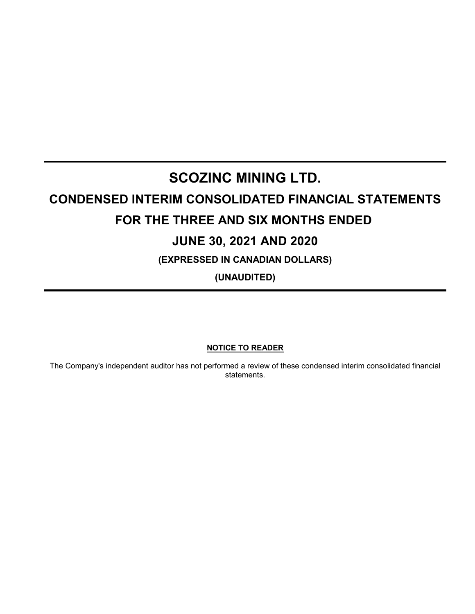# **SCOZINC MINING LTD.**

## **CONDENSED INTERIM CONSOLIDATED FINANCIAL STATEMENTS FOR THE THREE AND SIX MONTHS ENDED**

## **JUNE 30, 2021 AND 2020**

**(EXPRESSED IN CANADIAN DOLLARS)**

**(UNAUDITED)**

**NOTICE TO READER**

The Company's independent auditor has not performed a review of these condensed interim consolidated financial statements.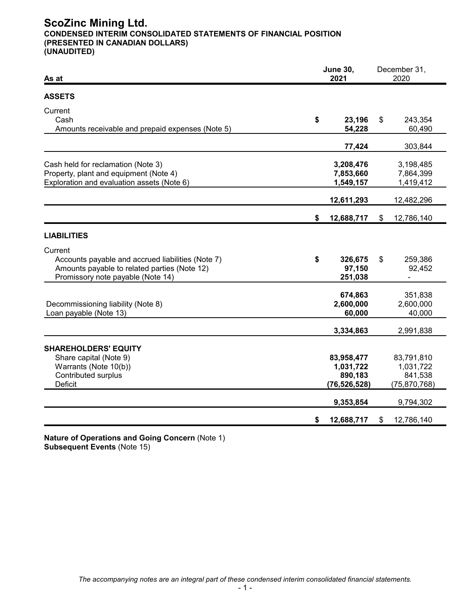## **ScoZinc Mining Ltd. CONDENSED INTERIM CONSOLIDATED STATEMENTS OF FINANCIAL POSITION (PRESENTED IN CANADIAN DOLLARS) (UNAUDITED)**

| As at                                                                                                                                             |    | <b>June 30,</b><br>2021                              | December 31,<br>2020                                 |
|---------------------------------------------------------------------------------------------------------------------------------------------------|----|------------------------------------------------------|------------------------------------------------------|
| <b>ASSETS</b>                                                                                                                                     |    |                                                      |                                                      |
| Current<br>Cash<br>Amounts receivable and prepaid expenses (Note 5)                                                                               | \$ | 23,196<br>54,228                                     | \$<br>243,354<br>60,490                              |
|                                                                                                                                                   |    | 77,424                                               | 303,844                                              |
| Cash held for reclamation (Note 3)<br>Property, plant and equipment (Note 4)<br>Exploration and evaluation assets (Note 6)                        |    | 3,208,476<br>7,853,660<br>1,549,157                  | 3,198,485<br>7,864,399<br>1,419,412                  |
|                                                                                                                                                   |    | 12,611,293                                           | 12,482,296                                           |
|                                                                                                                                                   | \$ | 12,688,717                                           | \$<br>12,786,140                                     |
| <b>LIABILITIES</b>                                                                                                                                |    |                                                      |                                                      |
| Current<br>Accounts payable and accrued liabilities (Note 7)<br>Amounts payable to related parties (Note 12)<br>Promissory note payable (Note 14) | \$ | 326,675<br>97,150<br>251,038                         | \$<br>259,386<br>92,452                              |
| Decommissioning liability (Note 8)<br>Loan payable (Note 13)                                                                                      |    | 674,863<br>2,600,000<br>60,000                       | 351,838<br>2,600,000<br>40,000                       |
|                                                                                                                                                   |    | 3,334,863                                            | 2,991,838                                            |
| <b>SHAREHOLDERS' EQUITY</b><br>Share capital (Note 9)<br>Warrants (Note 10(b))<br>Contributed surplus<br>Deficit                                  |    | 83,958,477<br>1,031,722<br>890,183<br>(76, 526, 528) | 83,791,810<br>1,031,722<br>841,538<br>(75, 870, 768) |
|                                                                                                                                                   |    | 9,353,854                                            | 9,794,302                                            |
|                                                                                                                                                   | \$ | 12,688,717                                           | \$<br>12,786,140                                     |

**Nature of Operations and Going Concern** (Note 1) **Subsequent Events** (Note 15)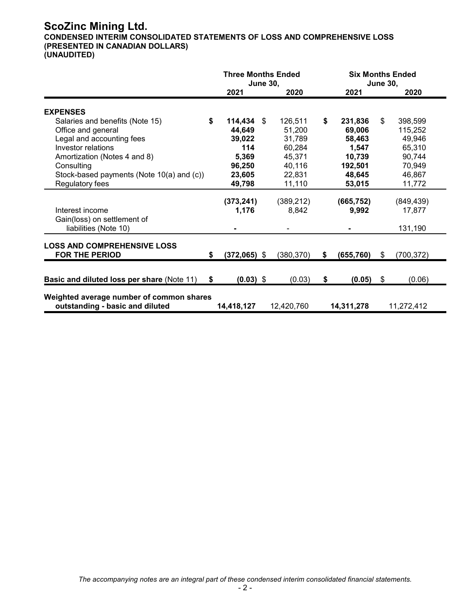## **ScoZinc Mining Ltd. CONDENSED INTERIM CONSOLIDATED STATEMENTS OF LOSS AND COMPREHENSIVE LOSS (PRESENTED IN CANADIAN DOLLARS) (UNAUDITED)**

|                                                             |    | <b>Three Months Ended</b><br><b>June 30,</b> |  | <b>Six Months Ended</b><br><b>June 30,</b> |                  |    |            |
|-------------------------------------------------------------|----|----------------------------------------------|--|--------------------------------------------|------------------|----|------------|
|                                                             |    | 2021                                         |  | 2020                                       | 2021             |    | 2020       |
| <b>EXPENSES</b>                                             |    |                                              |  |                                            |                  |    |            |
| Salaries and benefits (Note 15)                             | \$ | $114,434$ \$                                 |  | 126,511                                    | \$<br>231,836    | \$ | 398,599    |
| Office and general                                          |    | 44,649                                       |  | 51,200                                     | 69,006           |    | 115,252    |
| Legal and accounting fees                                   |    | 39,022                                       |  | 31,789                                     | 58,463           |    | 49,946     |
| Investor relations                                          |    | 114                                          |  | 60,284                                     | 1,547            |    | 65,310     |
| Amortization (Notes 4 and 8)                                |    | 5,369                                        |  | 45,371                                     | 10,739           |    | 90,744     |
| Consulting                                                  |    | 96,250                                       |  | 40,116                                     | 192,501          |    | 70,949     |
| Stock-based payments (Note 10(a) and (c))                   |    | 23,605                                       |  | 22,831                                     | 48,645           |    | 46,867     |
| Regulatory fees                                             |    | 49,798                                       |  | 11,110                                     | 53,015           |    | 11,772     |
|                                                             |    |                                              |  |                                            |                  |    |            |
|                                                             |    | (373, 241)                                   |  | (389, 212)                                 | (665, 752)       |    | (849, 439) |
| Interest income                                             |    | 1,176                                        |  | 8,842                                      | 9,992            |    | 17,877     |
| Gain(loss) on settlement of                                 |    |                                              |  |                                            |                  |    |            |
| liabilities (Note 10)                                       |    |                                              |  |                                            |                  |    | 131,190    |
|                                                             |    |                                              |  |                                            |                  |    |            |
| <b>LOSS AND COMPREHENSIVE LOSS</b><br><b>FOR THE PERIOD</b> | S  | $(372,065)$ \$                               |  | (380, 370)                                 | \$<br>(655, 760) | \$ | (700, 372) |
|                                                             |    |                                              |  |                                            |                  |    |            |
| <b>Basic and diluted loss per share (Note 11)</b>           | \$ | $(0.03)$ \$                                  |  | (0.03)                                     | \$<br>(0.05)     | \$ | (0.06)     |
|                                                             |    |                                              |  |                                            |                  |    |            |
| Weighted average number of common shares                    |    |                                              |  |                                            |                  |    |            |
| outstanding - basic and diluted                             |    | 14,418,127                                   |  | 12,420,760                                 | 14,311,278       |    | 11,272,412 |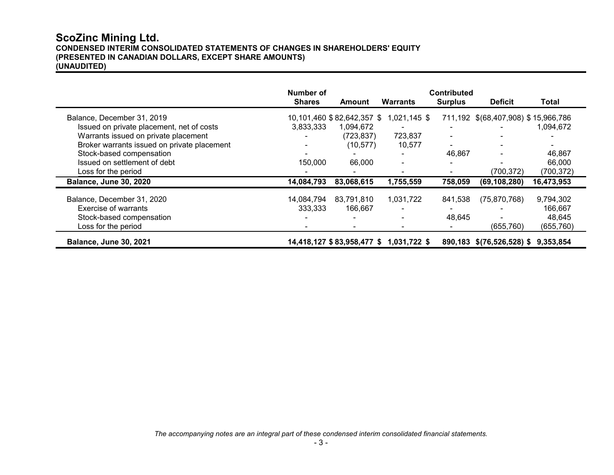## **ScoZinc Mining Ltd. CONDENSED INTERIM CONSOLIDATED STATEMENTS OF CHANGES IN SHAREHOLDERS' EQUITY (PRESENTED IN CANADIAN DOLLARS, EXCEPT SHARE AMOUNTS) (UNAUDITED)**

|                                             | Number of<br><b>Shares</b> | Amount                     | <b>Warrants</b> | <b>Contributed</b> | <b>Deficit</b>                      | Total      |
|---------------------------------------------|----------------------------|----------------------------|-----------------|--------------------|-------------------------------------|------------|
|                                             |                            |                            |                 | <b>Surplus</b>     |                                     |            |
| Balance, December 31, 2019                  |                            | 10,101,460 \$82,642,357 \$ | 1,021,145 \$    |                    | 711,192 \$(68,407,908) \$15,966,786 |            |
| Issued on private placement, net of costs   | 3,833,333                  | 1,094,672                  |                 |                    |                                     | 1,094,672  |
| Warrants issued on private placement        |                            | (723, 837)                 | 723,837         |                    |                                     |            |
| Broker warrants issued on private placement |                            | (10, 577)                  | 10,577          |                    |                                     |            |
| Stock-based compensation                    |                            |                            |                 | 46,867             |                                     | 46,867     |
| Issued on settlement of debt                | 150,000                    | 66,000                     |                 |                    |                                     | 66,000     |
| Loss for the period                         |                            |                            |                 |                    | (700,372)                           | (700, 372) |
| <b>Balance, June 30, 2020</b>               | 14,084,793                 | 83,068,615                 | 1,755,559       | 758,059            | (69, 108, 280)                      | 16,473,953 |
| Balance, December 31, 2020                  | 14,084,794                 | 83,791,810                 | 1,031,722       | 841,538            | (75, 870, 768)                      | 9,794,302  |
| Exercise of warrants                        | 333.333                    | 166.667                    |                 |                    |                                     | 166,667    |
| Stock-based compensation                    |                            |                            |                 | 48,645             |                                     | 48,645     |
| Loss for the period                         |                            |                            |                 |                    | (655, 760)                          | (655, 760) |
| <b>Balance, June 30, 2021</b>               |                            | 14,418,127 \$83,958,477 \$ | 1,031,722 \$    |                    | 890,183 \$(76,526,528) \$           | 9,353,854  |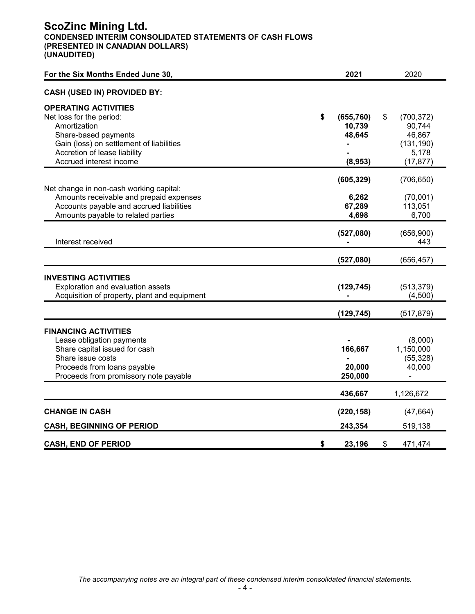## **ScoZinc Mining Ltd. CONDENSED INTERIM CONSOLIDATED STATEMENTS OF CASH FLOWS (PRESENTED IN CANADIAN DOLLARS) (UNAUDITED)**

| For the Six Months Ended June 30,            | 2021             |    | 2020       |
|----------------------------------------------|------------------|----|------------|
| <b>CASH (USED IN) PROVIDED BY:</b>           |                  |    |            |
| <b>OPERATING ACTIVITIES</b>                  |                  |    |            |
| Net loss for the period:                     | \$<br>(655, 760) | S  | (700, 372) |
| Amortization                                 | 10,739           |    | 90,744     |
| Share-based payments                         | 48,645           |    | 46,867     |
| Gain (loss) on settlement of liabilities     |                  |    | (131, 190) |
| Accretion of lease liability                 |                  |    | 5,178      |
| Accrued interest income                      | (8,953)          |    | (17, 877)  |
|                                              |                  |    |            |
|                                              | (605, 329)       |    | (706, 650) |
| Net change in non-cash working capital:      |                  |    |            |
| Amounts receivable and prepaid expenses      | 6,262            |    | (70,001)   |
| Accounts payable and accrued liabilities     | 67,289           |    | 113,051    |
| Amounts payable to related parties           | 4,698            |    | 6,700      |
|                                              | (527,080)        |    | (656,900)  |
| Interest received                            |                  |    | 443        |
|                                              |                  |    |            |
|                                              | (527,080)        |    | (656, 457) |
| <b>INVESTING ACTIVITIES</b>                  |                  |    |            |
| Exploration and evaluation assets            | (129, 745)       |    | (513, 379) |
| Acquisition of property, plant and equipment |                  |    | (4,500)    |
|                                              |                  |    |            |
|                                              | (129, 745)       |    | (517, 879) |
| <b>FINANCING ACTIVITIES</b>                  |                  |    |            |
| Lease obligation payments                    |                  |    | (8,000)    |
| Share capital issued for cash                | 166,667          |    | 1,150,000  |
| Share issue costs                            |                  |    | (55, 328)  |
| Proceeds from loans payable                  | 20,000           |    | 40,000     |
| Proceeds from promissory note payable        | 250,000          |    |            |
|                                              |                  |    |            |
|                                              | 436,667          |    | 1,126,672  |
| <b>CHANGE IN CASH</b>                        | (220, 158)       |    | (47, 664)  |
|                                              |                  |    |            |
| <b>CASH, BEGINNING OF PERIOD</b>             | 243,354          |    | 519,138    |
| <b>CASH, END OF PERIOD</b>                   | \$<br>23,196     | \$ | 471,474    |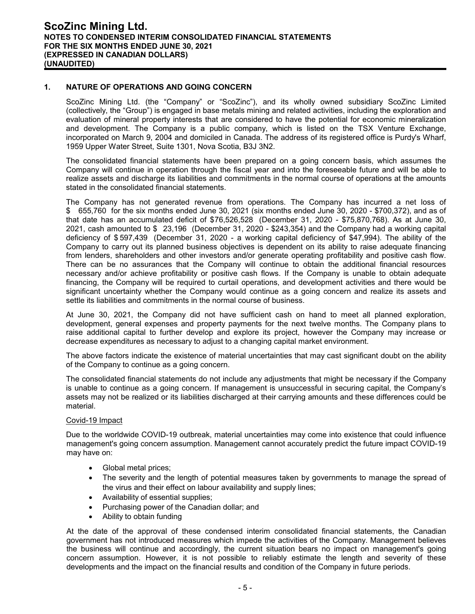#### **1. NATURE OF OPERATIONS AND GOING CONCERN**

ScoZinc Mining Ltd. (the "Company" or "ScoZinc"), and its wholly owned subsidiary ScoZinc Limited (collectively, the "Group") is engaged in base metals mining and related activities, including the exploration and evaluation of mineral property interests that are considered to have the potential for economic mineralization and development. The Company is a public company, which is listed on the TSX Venture Exchange, incorporated on March 9, 2004 and domiciled in Canada. The address of its registered office is Purdy's Wharf, 1959 Upper Water Street, Suite 1301, Nova Scotia, B3J 3N2.

The consolidated financial statements have been prepared on a going concern basis, which assumes the Company will continue in operation through the fiscal year and into the foreseeable future and will be able to realize assets and discharge its liabilities and commitments in the normal course of operations at the amounts stated in the consolidated financial statements.

The Company has not generated revenue from operations. The Company has incurred a net loss of \$ 655,760 for the six months ended June 30, 2021 (six months ended June 30, 2020 - \$700,372), and as of that date has an accumulated deficit of \$76,526,528 (December 31, 2020 - \$75,870,768). As at June 30, 2021, cash amounted to \$ 23,196 (December 31, 2020 - \$243,354) and the Company had a working capital deficiency of \$ 597,439 (December 31, 2020 - a working capital deficiency of \$47,994). The ability of the Company to carry out its planned business objectives is dependent on its ability to raise adequate financing from lenders, shareholders and other investors and/or generate operating profitability and positive cash flow. There can be no assurances that the Company will continue to obtain the additional financial resources necessary and/or achieve profitability or positive cash flows. If the Company is unable to obtain adequate financing, the Company will be required to curtail operations, and development activities and there would be significant uncertainty whether the Company would continue as a going concern and realize its assets and settle its liabilities and commitments in the normal course of business.

At June 30, 2021, the Company did not have sufficient cash on hand to meet all planned exploration, development, general expenses and property payments for the next twelve months. The Company plans to raise additional capital to further develop and explore its project, however the Company may increase or decrease expenditures as necessary to adjust to a changing capital market environment.

The above factors indicate the existence of material uncertainties that may cast significant doubt on the ability of the Company to continue as a going concern.

The consolidated financial statements do not include any adjustments that might be necessary if the Company is unable to continue as a going concern. If management is unsuccessful in securing capital, the Company's assets may not be realized or its liabilities discharged at their carrying amounts and these differences could be material.

#### Covid-19 Impact

Due to the worldwide COVID-19 outbreak, material uncertainties may come into existence that could influence management's going concern assumption. Management cannot accurately predict the future impact COVID-19 may have on:

- Global metal prices;
- The severity and the length of potential measures taken by governments to manage the spread of the virus and their effect on labour availability and supply lines;
- Availability of essential supplies;
- Purchasing power of the Canadian dollar; and
- Ability to obtain funding

At the date of the approval of these condensed interim consolidated financial statements, the Canadian government has not introduced measures which impede the activities of the Company. Management believes the business will continue and accordingly, the current situation bears no impact on management's going concern assumption. However, it is not possible to reliably estimate the length and severity of these developments and the impact on the financial results and condition of the Company in future periods.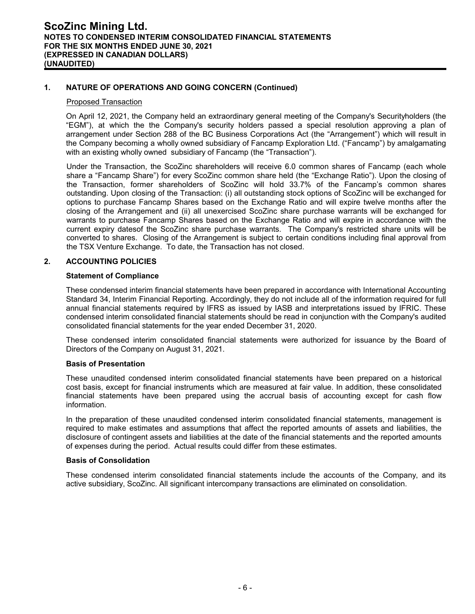#### **1. NATURE OF OPERATIONS AND GOING CONCERN (Continued)**

#### Proposed Transaction

On April 12, 2021, the Company held an extraordinary general meeting of the Company's Securityholders (the "EGM"), at which the the Company's security holders passed a special resolution approving a plan of arrangement under Section 288 of the BC Business Corporations Act (the "Arrangement") which will result in the Company becoming a wholly owned subsidiary of Fancamp Exploration Ltd. ("Fancamp") by amalgamating with an existing wholly owned subsidiary of Fancamp (the "Transaction").

Under the Transaction, the ScoZinc shareholders will receive 6.0 common shares of Fancamp (each whole share a "Fancamp Share") for every ScoZinc common share held (the "Exchange Ratio"). Upon the closing of the Transaction, former shareholders of ScoZinc will hold 33.7% of the Fancamp's common shares outstanding. Upon closing of the Transaction: (i) all outstanding stock options of ScoZinc will be exchanged for options to purchase Fancamp Shares based on the Exchange Ratio and will expire twelve months after the closing of the Arrangement and (ii) all unexercised ScoZinc share purchase warrants will be exchanged for warrants to purchase Fancamp Shares based on the Exchange Ratio and will expire in accordance with the current expiry datesof the ScoZinc share purchase warrants. The Company's restricted share units will be converted to shares. Closing of the Arrangement is subject to certain conditions including final approval from the TSX Venture Exchange. To date, the Transaction has not closed.

#### **2. ACCOUNTING POLICIES**

#### **Statement of Compliance**

These condensed interim financial statements have been prepared in accordance with International Accounting Standard 34, Interim Financial Reporting. Accordingly, they do not include all of the information required for full annual financial statements required by IFRS as issued by IASB and interpretations issued by IFRIC. These condensed interim consolidated financial statements should be read in conjunction with the Company's audited consolidated financial statements for the year ended December 31, 2020.

These condensed interim consolidated financial statements were authorized for issuance by the Board of Directors of the Company on August 31, 2021.

#### **Basis of Presentation**

These unaudited condensed interim consolidated financial statements have been prepared on a historical cost basis, except for financial instruments which are measured at fair value. In addition, these consolidated financial statements have been prepared using the accrual basis of accounting except for cash flow information.

In the preparation of these unaudited condensed interim consolidated financial statements, management is required to make estimates and assumptions that affect the reported amounts of assets and liabilities, the disclosure of contingent assets and liabilities at the date of the financial statements and the reported amounts of expenses during the period. Actual results could differ from these estimates.

#### **Basis of Consolidation**

These condensed interim consolidated financial statements include the accounts of the Company, and its active subsidiary, ScoZinc. All significant intercompany transactions are eliminated on consolidation.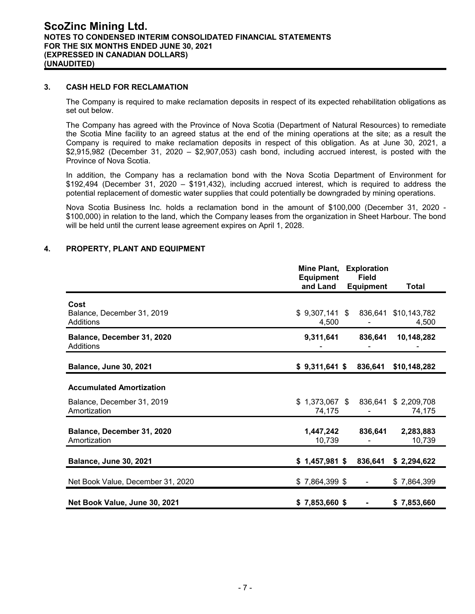#### **3. CASH HELD FOR RECLAMATION**

The Company is required to make reclamation deposits in respect of its expected rehabilitation obligations as set out below.

The Company has agreed with the Province of Nova Scotia (Department of Natural Resources) to remediate the Scotia Mine facility to an agreed status at the end of the mining operations at the site; as a result the Company is required to make reclamation deposits in respect of this obligation. As at June 30, 2021, a \$2,915,982 (December 31, 2020 – \$2,907,053) cash bond, including accrued interest, is posted with the Province of Nova Scotia.

In addition, the Company has a reclamation bond with the Nova Scotia Department of Environment for \$192,494 (December 31, 2020 – \$191,432), including accrued interest, which is required to address the potential replacement of domestic water supplies that could potentially be downgraded by mining operations.

Nova Scotia Business Inc. holds a reclamation bond in the amount of \$100,000 (December 31, 2020 - \$100,000) in relation to the land, which the Company leases from the organization in Sheet Harbour. The bond will be held until the current lease agreement expires on April 1, 2028.

**Mine Plant, Exploration**

|                                                 | .<br><b>Equipment</b>        | EAPIVIUTUT<br><b>Field</b> |                       |
|-------------------------------------------------|------------------------------|----------------------------|-----------------------|
|                                                 | and Land                     | <b>Equipment</b>           | Total                 |
| Cost<br>Balance, December 31, 2019<br>Additions | $$9,307,141$ \$<br>4,500     | 836,641                    | \$10,143,782<br>4,500 |
| Balance, December 31, 2020<br><b>Additions</b>  | 9,311,641                    | 836,641                    | 10,148,282            |
| <b>Balance, June 30, 2021</b>                   | $$9,311,641$ \$              | 836,641                    | \$10,148,282          |
| <b>Accumulated Amortization</b>                 |                              |                            |                       |
| Balance, December 31, 2019<br>Amortization      | 1,373,067 \$<br>\$<br>74,175 | 836,641                    | \$2,209,708<br>74,175 |
| Balance, December 31, 2020<br>Amortization      | 1,447,242<br>10,739          | 836,641                    | 2,283,883<br>10,739   |
| <b>Balance, June 30, 2021</b>                   | $$1,457,981$ \$              | 836,641                    | \$2,294,622           |
| Net Book Value, December 31, 2020               | $$7,864,399$ \$              | $\overline{\phantom{a}}$   | \$7,864,399           |
| Net Book Value, June 30, 2021                   | $$7,853,660$ \$              |                            | \$7,853,660           |

#### **4. PROPERTY, PLANT AND EQUIPMENT**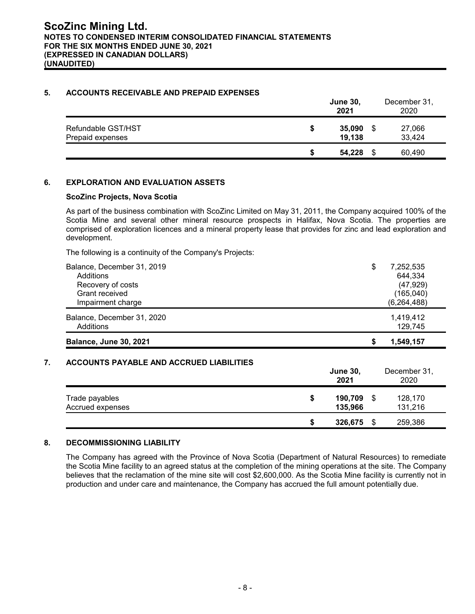### **5. ACCOUNTS RECEIVABLE AND PREPAID EXPENSES**

|                                        |   | <b>June 30,</b><br>2021 |   | December 31,<br>2020 |
|----------------------------------------|---|-------------------------|---|----------------------|
| Refundable GST/HST<br>Prepaid expenses | S | 35,090<br>19,138        | S | 27,066<br>33,424     |
|                                        | S | 54,228                  | S | 60,490               |

## **6. EXPLORATION AND EVALUATION ASSETS**

#### **ScoZinc Projects, Nova Scotia**

As part of the business combination with ScoZinc Limited on May 31, 2011, the Company acquired 100% of the Scotia Mine and several other mineral resource prospects in Halifax, Nova Scotia. The properties are comprised of exploration licences and a mineral property lease that provides for zinc and lead exploration and development.

The following is a continuity of the Company's Projects:

| Balance, December 31, 2019    | \$<br>7,252,535 |
|-------------------------------|-----------------|
| Additions                     | 644,334         |
| Recovery of costs             | (47, 929)       |
| Grant received                | (165,040)       |
| Impairment charge             | (6, 264, 488)   |
| Balance, December 31, 2020    | 1,419,412       |
| Additions                     | 129,745         |
| <b>Balance, June 30, 2021</b> | 1,549,157       |

## **7. ACCOUNTS PAYABLE AND ACCRUED LIABILITIES**

|                                    |   | <b>June 30,</b><br>2021 |      | December 31,<br>2020 |
|------------------------------------|---|-------------------------|------|----------------------|
| Trade payables<br>Accrued expenses | S | 190,709<br>135,966      |      | 128,170<br>131,216   |
|                                    |   | 326,675                 | - \$ | 259,386              |

#### **8. DECOMMISSIONING LIABILITY**

The Company has agreed with the Province of Nova Scotia (Department of Natural Resources) to remediate the Scotia Mine facility to an agreed status at the completion of the mining operations at the site. The Company believes that the reclamation of the mine site will cost \$2,600,000. As the Scotia Mine facility is currently not in production and under care and maintenance, the Company has accrued the full amount potentially due.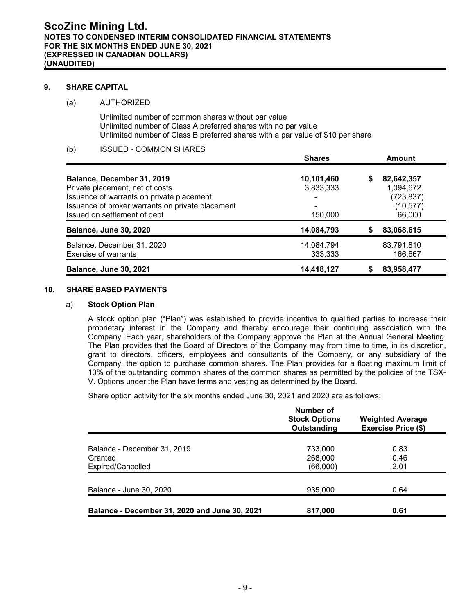#### **9. SHARE CAPITAL**

#### (a) AUTHORIZED

Unlimited number of common shares without par value Unlimited number of Class A preferred shares with no par value Unlimited number of Class B preferred shares with a par value of \$10 per share

#### (b) ISSUED - COMMON SHARES

|                                                  | <b>Shares</b> |    | <b>Amount</b> |
|--------------------------------------------------|---------------|----|---------------|
| Balance, December 31, 2019                       | 10,101,460    | \$ | 82,642,357    |
| Private placement, net of costs                  | 3,833,333     |    | 1,094,672     |
| Issuance of warrants on private placement        |               |    | (723, 837)    |
| Issuance of broker warrants on private placement |               |    | (10, 577)     |
| Issued on settlement of debt                     | 150,000       |    | 66,000        |
| <b>Balance, June 30, 2020</b>                    | 14,084,793    | S  | 83,068,615    |
| Balance, December 31, 2020                       | 14,084,794    |    | 83,791,810    |
| Exercise of warrants                             | 333,333       |    | 166,667       |
| <b>Balance, June 30, 2021</b>                    | 14,418,127    |    | 83,958,477    |

#### **10. SHARE BASED PAYMENTS**

#### a) **Stock Option Plan**

A stock option plan ("Plan") was established to provide incentive to qualified parties to increase their proprietary interest in the Company and thereby encourage their continuing association with the Company. Each year, shareholders of the Company approve the Plan at the Annual General Meeting. The Plan provides that the Board of Directors of the Company may from time to time, in its discretion, grant to directors, officers, employees and consultants of the Company, or any subsidiary of the Company, the option to purchase common shares. The Plan provides for a floating maximum limit of 10% of the outstanding common shares of the common shares as permitted by the policies of the TSX-V. Options under the Plan have terms and vesting as determined by the Board.

Share option activity for the six months ended June 30, 2021 and 2020 are as follows:

|                                               | Number of<br><b>Stock Options</b><br>Outstanding | <b>Weighted Average</b><br><b>Exercise Price (\$)</b> |
|-----------------------------------------------|--------------------------------------------------|-------------------------------------------------------|
| Balance - December 31, 2019                   | 733,000                                          | 0.83                                                  |
| Granted<br>Expired/Cancelled                  | 268,000<br>(66,000)                              | 0.46<br>2.01                                          |
| Balance - June 30, 2020                       | 935,000                                          | 0.64                                                  |
| Balance - December 31, 2020 and June 30, 2021 | 817,000                                          | 0.61                                                  |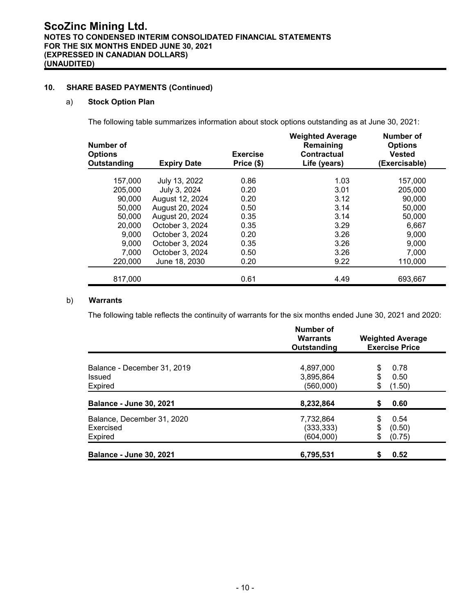## **10. SHARE BASED PAYMENTS (Continued)**

#### a) **Stock Option Plan**

The following table summarizes information about stock options outstanding as at June 30, 2021:

| Number of<br><b>Options</b><br>Outstanding | <b>Expiry Date</b> | <b>Exercise</b><br>Price (\$) | <b>Weighted Average</b><br>Remaining<br><b>Contractual</b><br>Life (years) | Number of<br><b>Options</b><br><b>Vested</b><br>(Exercisable) |
|--------------------------------------------|--------------------|-------------------------------|----------------------------------------------------------------------------|---------------------------------------------------------------|
| 157.000                                    | July 13, 2022      | 0.86                          | 1.03                                                                       | 157.000                                                       |
| 205,000                                    | July 3, 2024       | 0.20                          | 3.01                                                                       | 205.000                                                       |
| 90,000                                     | August 12, 2024    | 0.20                          | 3.12                                                                       | 90,000                                                        |
| 50,000                                     | August 20, 2024    | 0.50                          | 3.14                                                                       | 50,000                                                        |
| 50,000                                     | August 20, 2024    | 0.35                          | 3.14                                                                       | 50,000                                                        |
| 20,000                                     | October 3, 2024    | 0.35                          | 3.29                                                                       | 6,667                                                         |
| 9,000                                      | October 3, 2024    | 0.20                          | 3.26                                                                       | 9,000                                                         |
| 9,000                                      | October 3, 2024    | 0.35                          | 3.26                                                                       | 9,000                                                         |
| 7,000                                      | October 3, 2024    | 0.50                          | 3.26                                                                       | 7,000                                                         |
| 220,000                                    | June 18, 2030      | 0.20                          | 9.22                                                                       | 110,000                                                       |
| 817,000                                    |                    | 0.61                          | 4.49                                                                       | 693,667                                                       |

### b) **Warrants**

The following table reflects the continuity of warrants for the six months ended June 30, 2021 and 2020:

|                                | Number of<br><b>Warrants</b><br>Outstanding | <b>Weighted Average</b><br><b>Exercise Price</b> |
|--------------------------------|---------------------------------------------|--------------------------------------------------|
|                                |                                             |                                                  |
| Balance - December 31, 2019    | 4,897,000                                   | 0.78<br>\$                                       |
| Issued                         | 3,895,864                                   | \$<br>0.50                                       |
| Expired                        | (560,000)                                   | \$<br>(1.50)                                     |
| <b>Balance - June 30, 2021</b> | 8,232,864                                   | 0.60<br>\$                                       |
| Balance, December 31, 2020     | 7,732,864                                   | \$<br>0.54                                       |
| Exercised                      | (333, 333)                                  | \$<br>(0.50)                                     |
| Expired                        | (604,000)                                   | \$<br>(0.75)                                     |
| <b>Balance - June 30, 2021</b> | 6,795,531                                   | 0.52<br>\$                                       |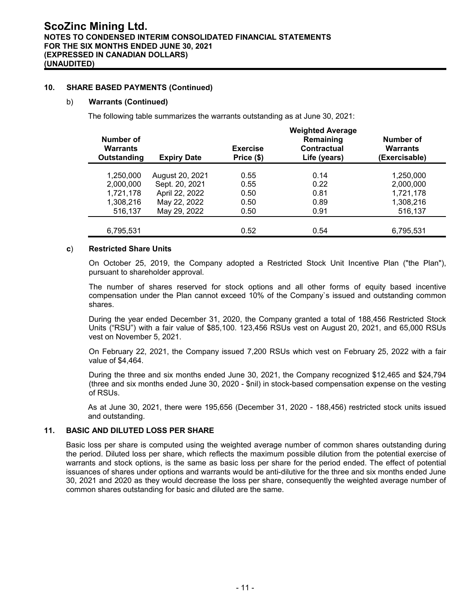#### **10. SHARE BASED PAYMENTS (Continued)**

#### b) **Warrants (Continued)**

The following table summarizes the warrants outstanding as at June 30, 2021:

| Number of<br><b>Warrants</b><br>Outstanding | <b>Expiry Date</b> | <b>Exercise</b><br>Price (\$) | <b>Weighted Average</b><br>Remaining<br><b>Contractual</b><br>Life (years) | Number of<br><b>Warrants</b><br>(Exercisable) |
|---------------------------------------------|--------------------|-------------------------------|----------------------------------------------------------------------------|-----------------------------------------------|
| 1,250,000                                   | August 20, 2021    | 0.55                          | 0.14                                                                       | 1,250,000                                     |
| 2,000,000                                   | Sept. 20, 2021     | 0.55                          | 0.22                                                                       | 2,000,000                                     |
| 1,721,178                                   | April 22, 2022     | 0.50                          | 0.81                                                                       | 1,721,178                                     |
| 1,308,216                                   | May 22, 2022       | 0.50                          | 0.89                                                                       | 1,308,216                                     |
| 516,137                                     | May 29, 2022       | 0.50                          | 0.91                                                                       | 516,137                                       |
|                                             |                    |                               |                                                                            |                                               |
| 6,795,531                                   |                    | 0.52                          | 0.54                                                                       | 6,795,531                                     |

#### **c**) **Restricted Share Units**

On October 25, 2019, the Company adopted a Restricted Stock Unit Incentive Plan ("the Plan"), pursuant to shareholder approval.

The number of shares reserved for stock options and all other forms of equity based incentive compensation under the Plan cannot exceed 10% of the Company`s issued and outstanding common shares.

During the year ended December 31, 2020, the Company granted a total of 188,456 Restricted Stock Units ("RSU") with a fair value of \$85,100. 123,456 RSUs vest on August 20, 2021, and 65,000 RSUs vest on November 5, 2021.

On February 22, 2021, the Company issued 7,200 RSUs which vest on February 25, 2022 with a fair value of \$4,464.

During the three and six months ended June 30, 2021, the Company recognized \$12,465 and \$24,794 (three and six months ended June 30, 2020 - \$nil) in stock-based compensation expense on the vesting of RSUs.

As at June 30, 2021, there were 195,656 (December 31, 2020 - 188,456) restricted stock units issued and outstanding.

#### **11. BASIC AND DILUTED LOSS PER SHARE**

Basic loss per share is computed using the weighted average number of common shares outstanding during the period. Diluted loss per share, which reflects the maximum possible dilution from the potential exercise of warrants and stock options, is the same as basic loss per share for the period ended. The effect of potential issuances of shares under options and warrants would be anti-dilutive for the three and six months ended June 30, 2021 and 2020 as they would decrease the loss per share, consequently the weighted average number of common shares outstanding for basic and diluted are the same.